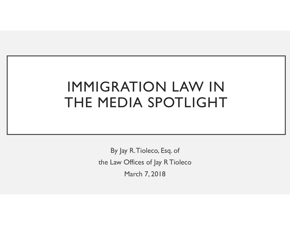### IMMIGRATION LAW IN THE MEDIA SPOTLIGHT

By Jay R. Tioleco, Esq. of the Law Offices of Jay R Tioleco March 7, 2018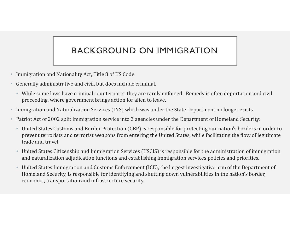#### BACKGROUND ON IMMIGRATION

- Immigration and Nationality Act, Title 8 of US Code
- Generally administrative and civil, but does include criminal.
	- While some laws have criminal counterparts, they are rarely enforced. Remedy is often deportation and civil proceeding, where government brings action for alien to leave.
- Immigration and Naturalization Services (INS) which was under the State Department no longer exists
- Patriot Act of 2002 split immigration service into 3 agencies under the Department of Homeland Security:
	- United States Customs and Border Protection (CBP) is responsible for protecting our nation's borders in order to prevent terrorists and terrorist weapons from entering the United States, while facilitating the flow of legitimate trade and travel.
	- United States Citizenship and Immigration Services (USCIS) is responsible for the administration of immigration and naturalization adjudication functions and establishing immigration services policies and priorities.
	- United States Immigration and Customs Enforcement (ICE), the largest investigative arm of the Department of Homeland Security, is responsible for identifying and shutting down vulnerabilities in the nation's border, economic, transportation and infrastructure security.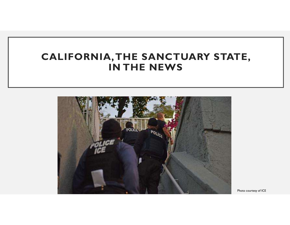### CALIFORNIA, THE SANCTUARY STATE, IN THE NEWS



Photo courtesy of ICE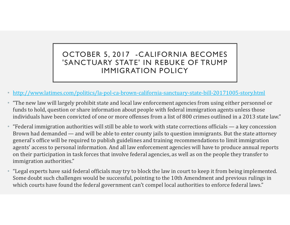#### OCTOBER 5, 2017 -CALIFORNIA BECOMES 'SANCTUARY STATE' IN REBUKE OF TRUMP IMMIGRATION POLICY

- http://www.latimes.com/politics/la-pol-ca-brown-california-sanctuary-state-bill-20171005-story.html
- "The new law will largely prohibit state and local law enforcement agencies from using either personnel or funds to hold, question or share information about people with federal immigration agents unless those individuals have been convicted of one or more offenses from a list of 800 crimes outlined in a 2013 state law."
- "Federal immigration authorities will still be able to work with state corrections officials a key concession and demanded and will be able to work with state corrections officials a key concession and demanded a **Brown Had demanded — and will be able to enter county jails to question in the people they transfer to the product to the state-bill-20171005-story.html "The new law will largely prohibit state and local law enforcement a** general's office will be required to publish guidelines and training recommendations to limit immigration agents' access to personal information. And all law enforcement agencies will have to produce annual reports on their participation in task forces that involve federal agencies, as well as on the people they transfer to immigration authorities."
- "Legal experts have said federal officials may try to block the law in court to keep it from being implemented. Some doubt such challenges would be successful, pointing to the 10th Amendment and previous rulings in which courts have found the federal government can't compel local authorities to enforce federal laws."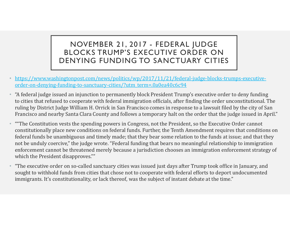# NOVEMBER 21, 2017 - FEDERAL JUDGE<br>LOCKS TRUMP'S EXECUTIVE ORDER ON<br>NYING FUNDING TO SANCTUARY CITIES BLOCKS TRUMP'S EXECUTIVE ORDER ON DENYING FUNDING TO SANCTUARY CITIES

- https://www.washingtonpost.com/news/politics/wp/2017/11/21/federal-judge-blocks-trumps-executiveorder-on-denying-funding-to-sanctuary-cities/?utm\_term=.0a0ea40c6c94
- MOVEMBER 21, 2017 FEDERAL JUDGE<br>
BLOCKS TRUMP'S EXECUTIVE ORDER ON<br>
DENYING FUNDING TO SANCTUARY CITIES<br>
 https://www.washingtonpost.com/news/politics/wp/2017/11/21/federal-judge-blocks-trumps-executive-<br>
order-on-denyi The Constitution vests the spending powers in Congress, not the President, so the Executive Order constrained to cooperate with federal immigration of The order unconstitution of the order order in the order unconstitution **RECOUTIVE ORDER ON DENTIFY IS A SECUTIVE ORDER ON DENTIFY SEXECUTIVE ORDER ON DENTIFY SEXECUTIVE ORDER ON DENTIFY SEXECUTIVE ORDER ON DENTIFY SEXECUTIVE ORDER ON THE SAN FRANCIPY OF UNITED THE SAN FRANCIPY OF THE SPONS TO** Francisco and nearby Santa Clara County and follows a temporary halt on the order that the judge issued in April."
- ""The Constitution vests the spending powers in Congress, not the President, so the Executive Order cannot constitutionally place new conditions on federal funds. Further, the Tenth Amendment requires that conditions on federal funds be unambiguous and timely made; that they bear some relation to the funds at issue; and that they not be unduly coercive," the judge wrote. "Federal funding that bears no meaningful relationship to immigration enforcement cannot be threatened merely because a jurisdiction chooses an immigration enforcement strategy of which the President disapproves."" order-on-denying-funding-to-sanctuary-cities//utm\_term=0a0ea40c6c94<br>"A federal judge issued an injunction to permanently block President Trump's executive order unto icties that refused to cooperate with federal immigratio
- "The executive order on so-called sanctuary cities was issued just days after Trump took office in January, and sought to withhold funds from cities that chose not to cooperate with federal efforts to deport undocumented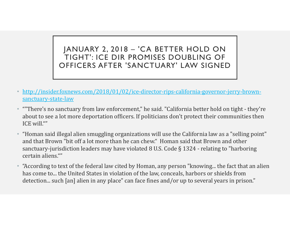# JANUARY 2, 2018 – 'CA BETTER HOLD ON<br>TIGHT': ICE DIR PROMISES DOUBLING OF<br>PFFICERS AFTER 'SANCTUARY' LAW SIGNED JANUARY 2, 2018 - 'CA BETTER HOLD ON<br>TIGHT': ICE DIR PROMISES DOUBLING OF OFFICERS AFTER 'SANCTUARY' LAW SIGNED

- http://insider.foxnews.com/2018/01/02/ice-director-rips-california-governor-jerry-brownsanctuary-state-law
- $\begin{array}{|l|l|}\n\hline\n\end{array}$  TIGHT': ICE DIR PROMISES DOUBLING OF<br>
TIGHT': ICE DIR PROMISES DOUBLING OF<br>  $\begin{array}{|l|l|}\n\hline\n\end{array}$ <br>  $\begin{array}{|l|l|}\n\hline\n\end{array}$  http://insider.foxnews.com/2018/01/02/ice-director-rips-california-gover about to see a lot more deportation officers. If politicians don't protect their communities then ICE will."
- "Homan said illegal alien smuggling organizations will use the California law as a "selling point" and that Brown "bit off a lot more than he can chew." Homan said that Brown and other TIGHT': ICE DIR PROMISES DOUBLING OF<br>
OFFICERS AFTER 'SANCTUARY' LAW SIGNED<br>
http://insiderfoxnews.com/2018/01/02/ice-director-rips-california-governor-jerry-brown-<br>
sanctuary-state-law<br>
"There's no sanctuary from law enfo certain aliens.""
- "According to text of the federal law cited by Homan, any person "knowing... the fact that an alien has come to... the United States in violation of the law, conceals, harbors or shields from detection... such [an] alien in any place" can face fines and/or up to several years in prison."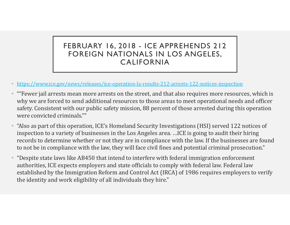# FEBRUARY 16, 2018 - ICE APPREHENDS 212<br>FOREIGN NATIONALS IN LOS ANGELES,<br>CALIFORNIA FOREIGN NATIONALS IN LOS ANGELES, CALIFORNIA

- https://www.ice.gov/news/releases/ice-operation-la-results-212-arrests-122-notices-inspection
- ""Fewer jail arrests mean more arrests on the street, and that also requires more resources, which is why we are forced to send additional resources to those areas to meet operational needs and officer safety. Consistent with our public safety mission, 88 percent of those arrested during this operation were convicted criminals.""
- "Also as part of this operation, ICE's Homeland Security Investigations (HSI) served 122 notices of **FEBRUARY 16, 2018 - ICE APPREHENDS 212**<br> **FOREIGN NATIONALS IN LOS ANGELES,**<br> **CALIFORNIA**<br> **EXECUTE ANTIONALS IN LOS ANGELES,**<br> **CALIFORNIA**<br> **EXECUTE ANTIONALS IN LOS ANGELES,**<br> **EXECUTE ANTIONALS ARTIFORNIA**<br> **EXECUTE** FEBRUART 16, 2018 - ICE APPREHENDS 212<br>
FOREIGN NATIONALS IN LOS ANGELES,<br>
CALIFORNIA<br>
https://www.ice.gov/news/releases/ice-operation-la-results-212-arrests-122-notices-inspection<br>
"Fewer jail arrests mean more arrests on to not be in compliance with the law, they will face civil fines and potential criminal prosecution."
- "Despite state laws like AB450 that intend to interfere with federal immigration enforcement authorities, ICE expects employers and state officials to comply with federal law. Federal law established by the Immigration Reform and Control Act (IRCA) of 1986 requires employers to verify the identity and work eligibility of all individuals they hire."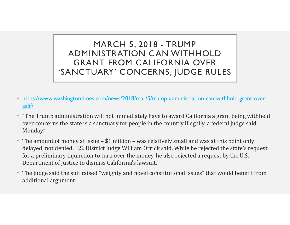### MARCH 5, 2018 - TRUMP<br>NISTRATION CAN WITHHOLD<br>NT FROM CALIFORNIA OVER ADMINISTRATION CAN WITHHOLD GRANT FROM CALIFORNIA OVER 'SANCTUARY' CONCERNS, JUDGE RULES

- https://www.washingtontimes.com/news/2018/mar/5/trump-administration-can-withhold-grant-overcalif/
- "The Trump administration will not immediately have to award California a grant being withheld over concerns the state is a sanctuary for people in the country illegally, a federal judge said Monday."
- The amount of money at issue \$1 million was relatively small and was at this point only dependent of purpositions, it amount of money at issue \$1 million was relatively small and was at this point only dependent delayed, not denied, U.S. District Judge William Orrick said. While he rejected the state's request for a preliminary injunction to turn over the money, he also rejected a request by the U.S. Department of Justice to dismiss California's lawsuit.
- The judge said the suit raised "weighty and novel constitutional issues" that would benefit from additional argument.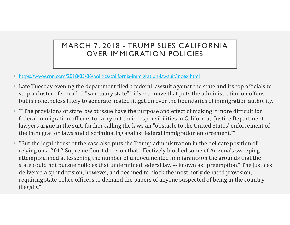# MARCH 7, 2018 - TRUMP SUES CALIFORNIA<br>OVER IMMIGRATION POLICIES OVER IMMIGRATION POLICIES

- https://www.cnn.com/2018/03/06/politics/california-immigration-lawsuit/index.html
- Late Tuesday evening the department filed a federal lawsuit against the state and its top officials to MARCH 7, 2018 - TRUMP SUES CALIFORNIA<br>
OVER IMMIGRATION POLICIES<br>
https://www.cnn.com/2018/03/06/politics/california-immigration-lawsuit/index.html<br>
Late Tuesday evening the department filed a federal lawsuit against the s MARCH 7, 2018 - TRUMP SUES CALIFORNIA<br>
OVER IMMIGRATION POLICIES<br>
• https://www.cnn.com/2018/03/06/politics/california-immigration-lawsuit/index.html<br>
• Late Tuesday evening the department filed a federal lawsuit against t
- federal immigration officers to carry out their responsibilities in California," Justice Department lawyers argue in the suit, further calling the laws an "obstacle to the United States' enforcement of the immigration laws and discriminating against federal immigration enforcement.""
- "But the legal thrust of the case also puts the Trump administration in the delicate position of relying on a 2012 Supreme Court decision that effectively blocked some of Arizona's sweeping attempts aimed at lessening the number of undocumented immigrants on the grounds that the https://www.cnn.com/2018/03/06/politics/california-inmigration-lawsuit/index.html<br>Late Tuesday evening the department filed a federal lawsuit against the state and its top officials to<br>stop a cluster of so-called "sanctuar delivered a split decision, however, and declined to block the most hotly debated provision, requiring state police officers to demand the papers of anyone suspected of being in the country illegally."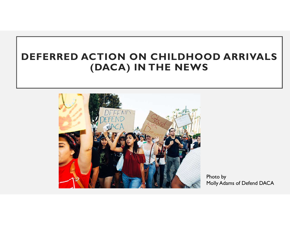### DEFERRED ACTION ON CHILDHOOD ARRIVALS (DACA) IN THE NEWS



Photo by Molly Adams of Defend DACA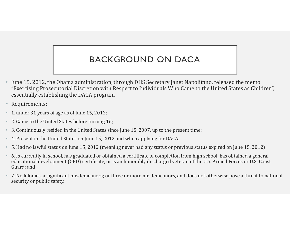#### BACKGROUND ON DACA

- June 15, 2012, the Obama administration, through DHS Secretary Janet Napolitano, released the memo "Exercising Prosecutorial Discretion with Respect to Individuals Who Came to the United States as Children", essentially establishing the DACA program
- Requirements:
- 1. under 31 years of age as of June 15, 2012;
- 2. Came to the United States before turning 16;
- 3. Continuously resided in the United States since June 15, 2007, up to the present time;
- 4. Present in the United States on June 15, 2012 and when applying for DACA;
- 5. Had no lawful status on June 15, 2012 (meaning never had any status or previous status expired on June 15, 2012)
- 6. Is currently in school, has graduated or obtained a certificate of completion from high school, has obtained a general educational development (GED) certificate, or is an honorably discharged veteran of the U.S. Armed Forces or U.S. Coast Guard; and
- 7. No felonies, a significant misdemeanors; or three or more misdemeanors, and does not otherwise pose a threat to national security or public safety.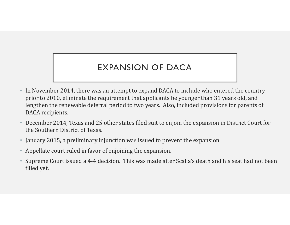#### EXPANSION OF DACA

- In November 2014, there was an attempt to expand DACA to include who entered the country prior to 2010, eliminate the requirement that applicants be younger than 31 years old, and lengthen the renewable deferral period to two years. Also, included provisions for parents of DACA recipients.
- December 2014, Texas and 25 other states filed suit to enjoin the expansion in District Court for the Southern District of Texas.
- January 2015, a preliminary injunction was issued to prevent the expansion
- Appellate court ruled in favor of enjoining the expansion.
- Supreme Court issued a 4-4 decision. This was made after Scalia's death and his seat had not been filled yet.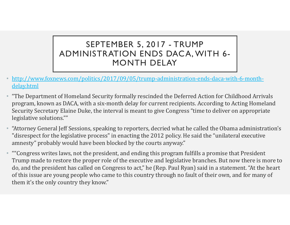# SEPTEMBER 5, 2017 - TRUMP<br>SISTRATION ENDS DACA, WITH 6-<br>MONTH DELAY ADMINISTRATION ENDS DACA, WITH 6- MONTH DELAY

- http://www.foxnews.com/politics/2017/09/05/trump-administration-ends-daca-with-6-monthdelay.html
- "The Department of Homeland Security formally rescinded the Deferred Action for Childhood Arrivals program, known as DACA, with a six-month delay for current recipients. According to Acting Homeland Security Secretary Elaine Duke, the interval is meant to give Congress "time to deliver on appropriate legislative solutions.""
- "Attorney General Jeff Sessions, speaking to reporters, decried what he called the Obama administration's "disrespect for the legislative process" in enacting the 2012 policy. He said the "unilateral executive amnesty" probably would have been blocked by the courts anyway."
- ""Congress writes laws, not the president, and ending this program fulfills a promise that President Trump made to restore the proper role of the executive and legislative branches. But now there is more to do, and the president has called on Congress to act," he (Rep. Paul Ryan) said in a statement. "At the heart of this issue are young people who came to this country through no fault of their own, and for many of them it's the only country they know."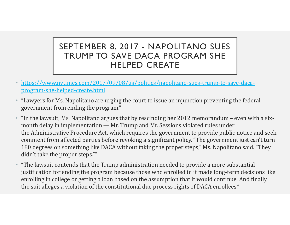# SEPTEMBER 8, 2017 - NAPOLITANO SUES<br>TRUMP TO SAVE DACA PROGRAM SHE<br>HELPED CREATE TRUMP TO SAVE DACA PROGRAM SHE HELPED CREATE

- https://www.nytimes.com/2017/09/08/us/politics/napolitano-sues-trump-to-save-dacaprogram-she-helped-create.html
- "Lawyers for Ms. Napolitano are urging the court to issue an injunction preventing the federal government from ending the program."
- **SEPTEMBER 8, 2017 NAPOLITANO SUES<br>
TRUMP TO SAVE DACA PROGRAM SHE<br>
HELPED CREATE<br>
\* https://www.nytimes.com/2017/09/08/us/politics/napolitano-sues-trump-to-save-daca-<br>
program-she-helped-create.html<br>
\* "Lawyers for Ms.** SEPTEMBER 8, 2017 - NAPOLITANO SUES<br>
TRUMP TO SAVE DACA PROGRAM SHE<br>
HELPED CREATE<br>
HELPED CREATE<br>
https://www.nytimes.com/2017/09/08/us/politics/napolitano-sues-trump-to-save-daca-<br>
program-she-helped-create.html<br>
"Lawyer **SEPTEMBER 8, 2017 - NAPOLITANO SUES**<br> **TRUMP TO SAVE DACA PROGRAM SHE**<br>
HELPED CREATE<br>
https://www.mytimes.com/2017/09/08/us/politics/napolitano-sues-trump-to-save-daca-<br>
program-she-helped-create.html<br>
"Lawyers for Ms. N comment from affected parties before revoking a significant policy. "The government just can't turn 180 degrees on something like DACA without taking the proper steps," Ms. Napolitano said. "They didn't take the proper steps.""
- "The lawsuit contends that the Trump administration needed to provide a more substantial justification for ending the program because those who enrolled in it made long-term decisions like enrolling in college or getting a loan based on the assumption that it would continue. And finally, the suit alleges a violation of the constitutional due process rights of DACA enrollees."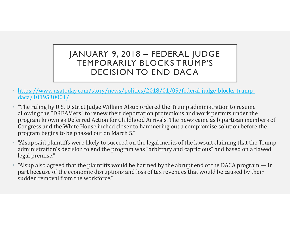# JANUARY 9, 2018 – FEDERAL JUDGE<br>TEMPORARILY BLOCKS TRUMP'S<br>DECISION TO END DACA TEMPORARILY BLOCKS TRUMP'S DECISION TO END DACA

- https://www.usatoday.com/story/news/politics/2018/01/09/federal-judge-blocks-trumpdaca/1019530001/
- FEMPORARILY BLOCKS TRUMP'S<br>
FEMPORARILY BLOCKS TRUMP'S<br>
DECISION TO END DACA<br>
 thttps://www.usatoday.com/story/news/politics/2018/01/09/federal-judge-blocks-trump-<br>
 "The ruling by U.S. District Judge William Alsup order allowing the "DREAMers" to renew their deportation protections and work permits under the program known as Deferred Action for Childhood Arrivals. The news came as bipartisan members of Congress and the White House inched closer to hammering out a compromise solution before the program begins to be phased out on March 5." **FEMPORARILY BLOCKS TRUMP'S**<br> **TEMPORARILY BLOCKS TRUMP'S**<br> **PEMPORARILY BLOCKS TRUMP'S**<br> **PERPORARIEY BLOCKS TRUMP'S**<br> **PERPORARIEY DECISION TO END DACA**<br> **PERPORARIEY**<br> **PERPORATION**  $\frac{1}{2}$  and  $\frac{1}{2}$   $\frac{1}{2}$   $\$ **•** "Alsup said plaintiffs wore likely to the plaintiffs would be harmed by the abrupt same of the planned the abrupt same allowing the "DREAMers" to renew their deportation protections and work permits under the allowing
- administration's decision to end the program was "arbitrary and capricious" and based on a flawed legal premise."
- part because of the economic disruptions and loss of tax revenues that would be caused by their sudden removal from the workforce."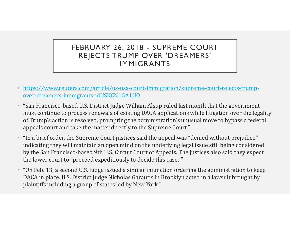# FEBRUARY 26, 2018 - SUPREME COURT<br>REJECTS TRUMP OVER 'DREAMERS'<br>IMMIGRANTS REJECTS TRUMP OVER 'DREAMERS' IMMIGRANTS

- https://www.reuters.com/article/us-usa-court-immigration/supreme-court-rejects-trumpover-dreamers-immigrants-idUSKCN1GA1UO
- **FEBRUARY 26, 2018 SUPREME COURT<br>
REJECTS TRUMP OVER 'DREAMERS'<br>
IMMIGRANTS<br>
\* https://www.reuters.com/article/us-usa-court-immigration/supreme-court-rejects-trump-<br>
over-dreamers-immigrants-idUSKCN1GA1U0<br>
\* "San Francis** must continue to process renewals of existing DACA applications while litigation over the legality of Trump's action is resolved, prompting the administration's unusual move to bypass a federal appeals court and take the matter directly to the Supreme Court." https://www.reuters.com/article/us-usa-court-immigration/supreme-court-rejects-trump-<br>over-dreamers-immigrants-idUSKCN1GA1UO<br>"San Francisco-based U.S. District Judge William Alsup ruled last month that the government<br>must
- "In a brief order, the Supreme Court justices said the appeal was "denied without prejudice," indicating they will maintain an open mind on the underlying legal issue still being considered by the San Francisco-based 9th U.S. Circuit Court of Appeals. The justices also said they expect the lower court to "proceed expeditiously to decide this case.""
- "On Feb. 13, a second U.S. judge issued a similar injunction ordering the administration to keep plaintiffs including a group of states led by New York."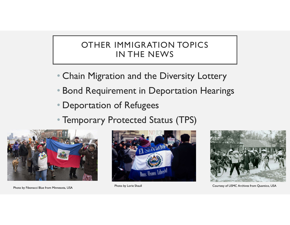#### OTHER IMMIGRATION TOPICS IN THE NEWS

- Chain Migration and the Diversity Lottery
- Bond Requirement in Deportation Hearings
- Deportation of Refugees
- Temporary Protected Status (TPS)





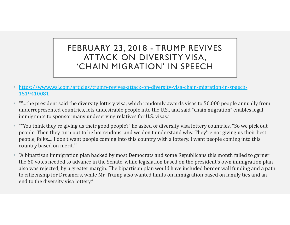# FEBRUARY 23, 2018 - TRUMP REVIVES<br>ATTACK ON DIVERSITY VISA,<br>CHAIN MIGRATION' IN SPEECH ATTACK ON DIVERSITY VISA, 'CHAIN MIGRATION' IN SPEECH

- https://www.wsj.com/articles/trump-revives-attack-on-diversity-visa-chain-migration-in-speech-1519410081
- ""…the president said the diversity lottery visa, which randomly awards visas to 50,000 people annually from underrepresented countries, lets undesirable people into the U.S., and said "chain migration" enables legal immigrants to sponsor many undeserving relatives for U.S. visas."
- ""You think they're giving us their good people?" he asked of diversity visa lottery countries. "So we pick out people. Then they turn out to be horrendous, and we don't understand why. They're not giving us their best people, folks.... I don't want people coming into this country with a lottery. I want people coming into this country based on merit.""
- "A bipartisan immigration plan backed by most Democrats and some Republicans this month for citizenship for Dreamers, which randomly awards visas to 50,000 people annually from underrepresented countries, lets undesirabl **CITAILY PHIG KATIOIN** IN SPEECT<br>
https://www.wsi.com/articles/trump-revives-attack-on-diversity-visa-chain-migration-in-speech-<br>
"...the president said the diversity lottery visa, which randomly awards visas to 50,000 peo also was rejected, by a greater margin. The bipartisan plan would have included border wall funding and a path to citizenship for Dreamers, while Mr. Trump also wanted limits on immigration based on family ties and an end to the diversity visa lottery."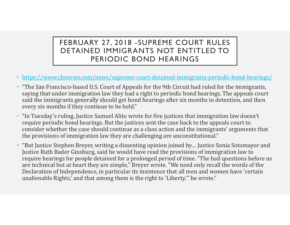#### FEBRUARY 27, 2018 -SUPREME COURT RULES DETAINED IMMIGRANTS NOT ENTITLED TO PERIODIC BOND HEARINGS

- https://www.cbsnews.com/news/supreme-court-detained-immigrants-periodic-bond-hearings/
- "The San Francisco-based U.S. Court of Appeals for the 9th Circuit had ruled for the immigrants, saying that under immigration law they had a right to periodic bond hearings. The appeals court said the immigrants generally should get bond hearings after six months in detention, and then every six months if they continue to be held."
- "In Tuesday's ruling, Justice Samuel Alito wrote for five justices that immigration law doesn't require periodic bond hearings. But the justices sent the case back to the appeals court to consider whether the case should continue as a class action and the immigrants' arguments that the provisions of immigration law they are challenging are unconstitutional."
- "But Justice Stephen Breyer, writing a dissenting opinion joined by… Justice Sonia Sotomayor and Justice Ruth Bader Ginsburg, said he would have read the provisions of immigration law to require hearings for people detained for a prolonged period of time. "The bail questions before us are technical but at heart they are simple," Breyer wrote. "We need only recall the words of the Declaration of Independence, in particular its insistence that all men and women have 'certain unalienable Rights,' and that among them is the right to 'Liberty,'" he wrote."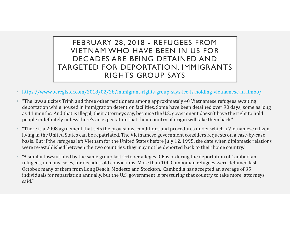### FEBRUARY 28, 2018 - REFUGEES FROM<br>VIETNAM WHO HAVE BEEN IN US FOR<br>DECADES ARE BEING DETAINED AND<br>GFTFD FOR DFPORTATION. IMMIGRANTS VIETNAM WHO HAVE BEEN IN US FOR DECADES ARE BEING DETAINED AND TARGETED FOR DEPORTATION, IMMIGRANTS RIGHTS GROUP SAYS

- https://www.ocregister.com/2018/02/28/immigrant-rights-group-says-ice-is-holding-vietnamese-in-limbo/
- "The lawsuit cites Trinh and three other petitioners among approximately 40 Vietnamese refugees awaiting deportation while housed in immigration detention facilities. Some have been detained over 90 days; some as long as 11 months. And that is illegal, their attorneys say, because the U.S. government doesn't have the right to hold people indefinitely unless there's an expectation that their country of origin will take them back."
- "There is a 2008 agreement that sets the provisions, conditions and procedures under which a Vietnamese citizen living in the United States can be repatriated. The Vietnamese government considers requests on a case-by-case VIETNAM WHO HAVE BEEN IN US FOR<br>
DECADES ARE BEING DETAINED AND<br>
TARGETED FOR DEPORTATION, IMMIGRANTS<br>
RIGHTS GROUP SAYS<br>
thtps://www.orcregister.com/2018/02/28/immigrant-rights-group-says-ice-is-holding-vietnamese-in-limb were re-established between the two countries, they may not be deported back to their home country."
- "A similar lawsuit filed by the same group last October alleges ICE is ordering the deportation of Cambodian refugees, in many cases, for decades-old convictions. More than 100 Cambodian refugees were detained last October, many of them from Long Beach, Modesto and Stockton. Cambodia has accepted an average of 35 individuals for repatriation annually, but the U.S. government is pressuring that country to take more, attorneys said."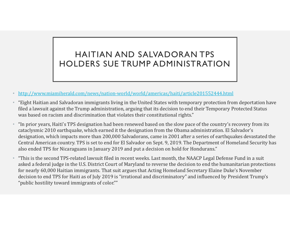#### HAITIAN AND SALVADORAN TPS HOLDERS SUE TRUMP ADMINISTRATION

- http://www.miamiherald.com/news/nation-world/world/americas/haiti/article201552444.html
- "Eight Haitian and Salvadoran immigrants living in the United States with temporary protection from deportation have filed a lawsuit against the Trump administration, arguing that its decision to end their Temporary Protected Status was based on racism and discrimination that violates their constitutional rights."
- "In prior years, Haiti's TPS designation had been renewed based on the slow pace of the country's recovery from its cataclysmic 2010 earthquake, which earned it the designation from the Obama administration. El Salvador's designation, which impacts more than 200,000 Salvadorans, came in 2001 after a series of earthquakes devastated the Central American country. TPS is set to end for El Salvador on Sept. 9, 2019. The Department of Homeland Security has also ended TPS for Nicaraguans in January 2019 and put a decision on hold for Hondurans."
- "This is the second TPS-related lawsuit filed in recent weeks. Last month, the NAACP Legal Defense Fund in a suit asked a federal judge in the U.S. District Court of Maryland to reverse the decision to end the humanitarian protections for nearly 60,000 Haitian immigrants. That suit argues that Acting Homeland Secretary Elaine Duke's November decision to end TPS for Haiti as of July 2019 is "irrational and discriminatory" and influenced by President Trump's "public hostility toward immigrants of color.""